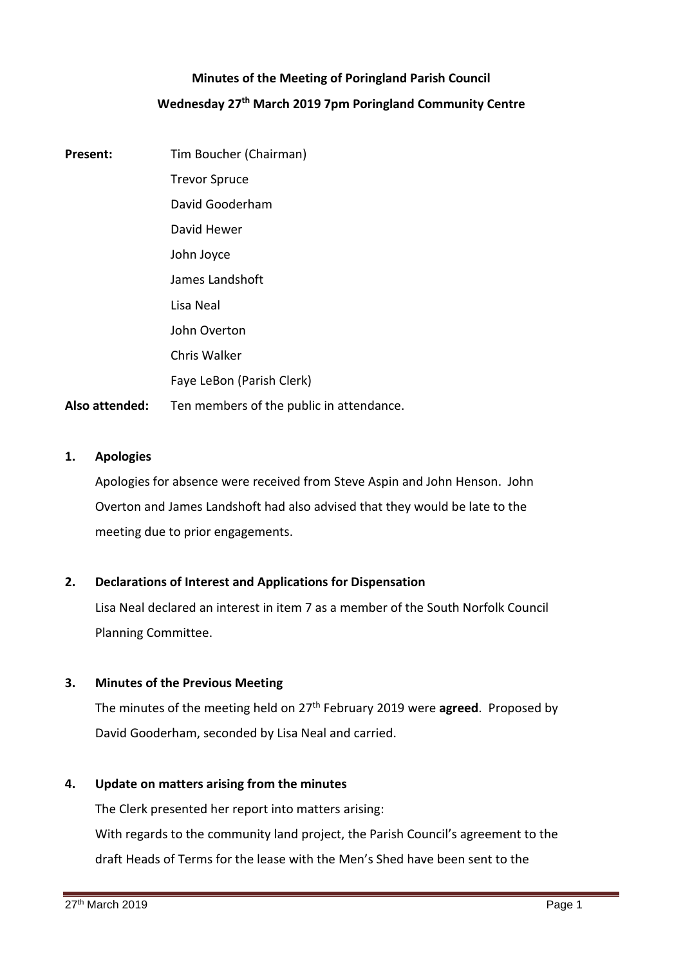# **Minutes of the Meeting of Poringland Parish Council Wednesday 27th March 2019 7pm Poringland Community Centre**

**Present:** Tim Boucher (Chairman) Trevor Spruce David Gooderham David Hewer John Joyce James Landshoft Lisa Neal John Overton Chris Walker Faye LeBon (Parish Clerk) **Also attended:** Ten members of the public in attendance.

## **1. Apologies**

Apologies for absence were received from Steve Aspin and John Henson. John Overton and James Landshoft had also advised that they would be late to the meeting due to prior engagements.

## **2. Declarations of Interest and Applications for Dispensation**

Lisa Neal declared an interest in item 7 as a member of the South Norfolk Council Planning Committee.

## **3. Minutes of the Previous Meeting**

The minutes of the meeting held on 27th February 2019 were **agreed**. Proposed by David Gooderham, seconded by Lisa Neal and carried.

## **4. Update on matters arising from the minutes**

The Clerk presented her report into matters arising: With regards to the community land project, the Parish Council's agreement to the draft Heads of Terms for the lease with the Men's Shed have been sent to the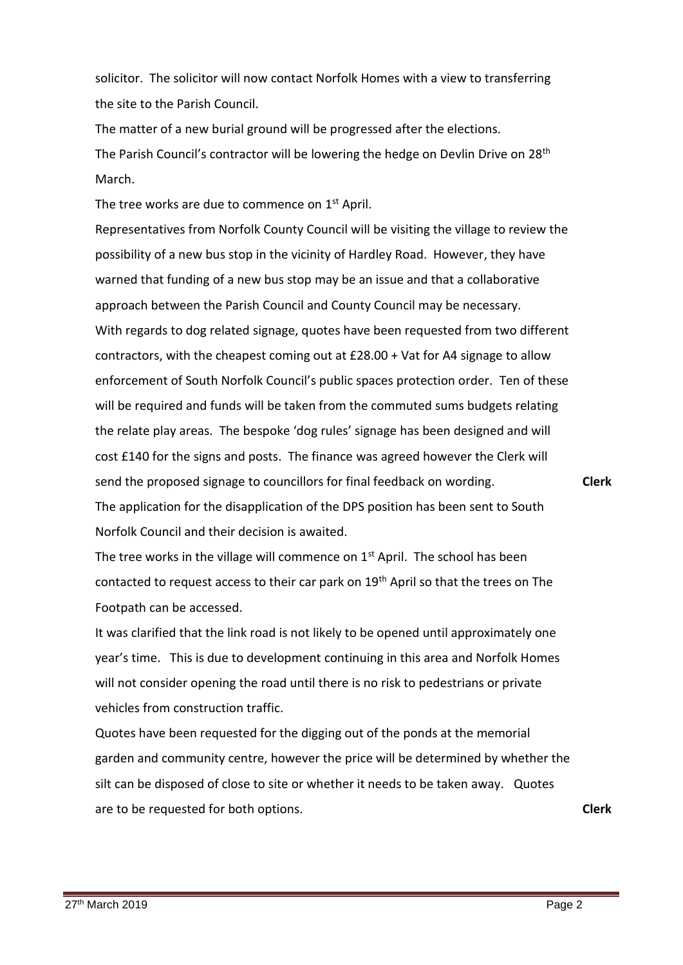solicitor. The solicitor will now contact Norfolk Homes with a view to transferring the site to the Parish Council.

The matter of a new burial ground will be progressed after the elections. The Parish Council's contractor will be lowering the hedge on Devlin Drive on 28<sup>th</sup> March.

The tree works are due to commence on 1<sup>st</sup> April.

Representatives from Norfolk County Council will be visiting the village to review the possibility of a new bus stop in the vicinity of Hardley Road. However, they have warned that funding of a new bus stop may be an issue and that a collaborative approach between the Parish Council and County Council may be necessary. With regards to dog related signage, quotes have been requested from two different contractors, with the cheapest coming out at £28.00 + Vat for A4 signage to allow enforcement of South Norfolk Council's public spaces protection order. Ten of these will be required and funds will be taken from the commuted sums budgets relating the relate play areas. The bespoke 'dog rules' signage has been designed and will cost £140 for the signs and posts. The finance was agreed however the Clerk will send the proposed signage to councillors for final feedback on wording. The application for the disapplication of the DPS position has been sent to South Norfolk Council and their decision is awaited.

The tree works in the village will commence on  $1<sup>st</sup>$  April. The school has been contacted to request access to their car park on 19<sup>th</sup> April so that the trees on The Footpath can be accessed.

It was clarified that the link road is not likely to be opened until approximately one year's time. This is due to development continuing in this area and Norfolk Homes will not consider opening the road until there is no risk to pedestrians or private vehicles from construction traffic.

Quotes have been requested for the digging out of the ponds at the memorial garden and community centre, however the price will be determined by whether the silt can be disposed of close to site or whether it needs to be taken away. Quotes are to be requested for both options. **Clerk**

27<sup>th</sup> March 2019 **Page 2** 

**Clerk**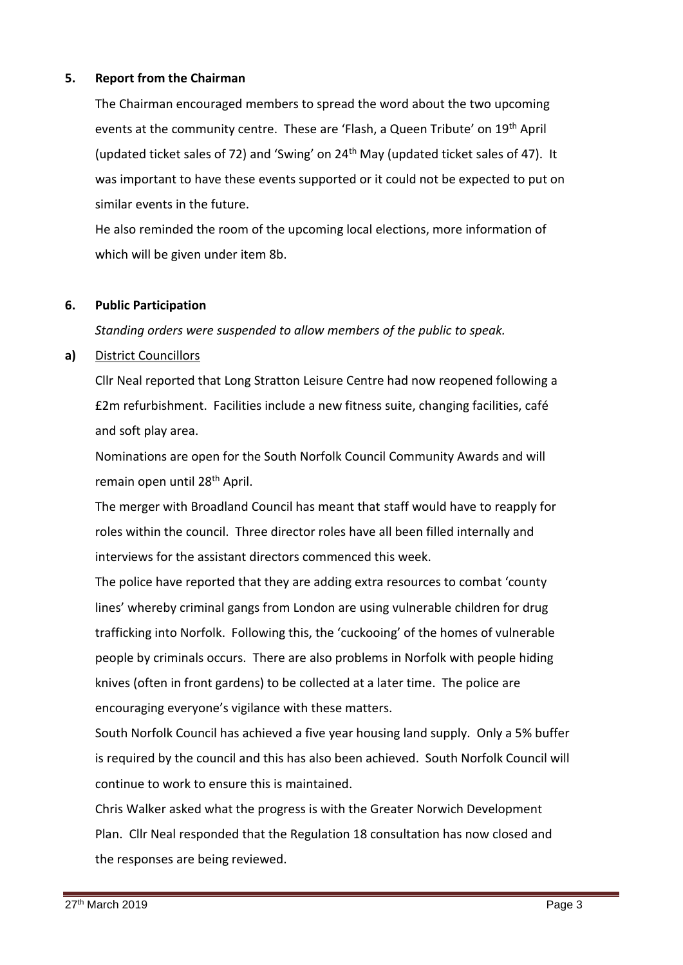## **5. Report from the Chairman**

The Chairman encouraged members to spread the word about the two upcoming events at the community centre. These are 'Flash, a Queen Tribute' on 19th April (updated ticket sales of 72) and 'Swing' on  $24<sup>th</sup>$  May (updated ticket sales of 47). It was important to have these events supported or it could not be expected to put on similar events in the future.

He also reminded the room of the upcoming local elections, more information of which will be given under item 8b.

## **6. Public Participation**

*Standing orders were suspended to allow members of the public to speak.*

## **a)** District Councillors

Cllr Neal reported that Long Stratton Leisure Centre had now reopened following a £2m refurbishment. Facilities include a new fitness suite, changing facilities, café and soft play area.

Nominations are open for the South Norfolk Council Community Awards and will remain open until 28<sup>th</sup> April.

The merger with Broadland Council has meant that staff would have to reapply for roles within the council. Three director roles have all been filled internally and interviews for the assistant directors commenced this week.

The police have reported that they are adding extra resources to combat 'county lines' whereby criminal gangs from London are using vulnerable children for drug trafficking into Norfolk. Following this, the 'cuckooing' of the homes of vulnerable people by criminals occurs. There are also problems in Norfolk with people hiding knives (often in front gardens) to be collected at a later time. The police are encouraging everyone's vigilance with these matters.

South Norfolk Council has achieved a five year housing land supply. Only a 5% buffer is required by the council and this has also been achieved. South Norfolk Council will continue to work to ensure this is maintained.

Chris Walker asked what the progress is with the Greater Norwich Development Plan. Cllr Neal responded that the Regulation 18 consultation has now closed and the responses are being reviewed.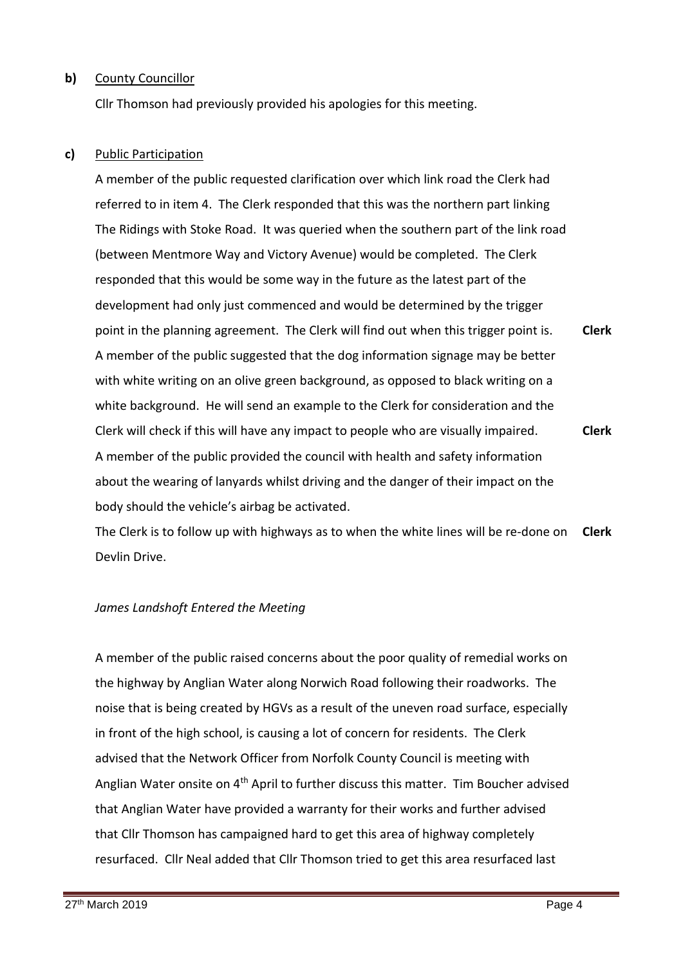## **b)** County Councillor

Cllr Thomson had previously provided his apologies for this meeting.

## **c)** Public Participation

A member of the public requested clarification over which link road the Clerk had referred to in item 4. The Clerk responded that this was the northern part linking The Ridings with Stoke Road. It was queried when the southern part of the link road (between Mentmore Way and Victory Avenue) would be completed. The Clerk responded that this would be some way in the future as the latest part of the development had only just commenced and would be determined by the trigger point in the planning agreement. The Clerk will find out when this trigger point is. A member of the public suggested that the dog information signage may be better with white writing on an olive green background, as opposed to black writing on a white background. He will send an example to the Clerk for consideration and the Clerk will check if this will have any impact to people who are visually impaired. A member of the public provided the council with health and safety information about the wearing of lanyards whilst driving and the danger of their impact on the body should the vehicle's airbag be activated. **Clerk Clerk**

The Clerk is to follow up with highways as to when the white lines will be re-done on Devlin Drive. **Clerk**

## *James Landshoft Entered the Meeting*

A member of the public raised concerns about the poor quality of remedial works on the highway by Anglian Water along Norwich Road following their roadworks. The noise that is being created by HGVs as a result of the uneven road surface, especially in front of the high school, is causing a lot of concern for residents. The Clerk advised that the Network Officer from Norfolk County Council is meeting with Anglian Water onsite on 4<sup>th</sup> April to further discuss this matter. Tim Boucher advised that Anglian Water have provided a warranty for their works and further advised that Cllr Thomson has campaigned hard to get this area of highway completely resurfaced. Cllr Neal added that Cllr Thomson tried to get this area resurfaced last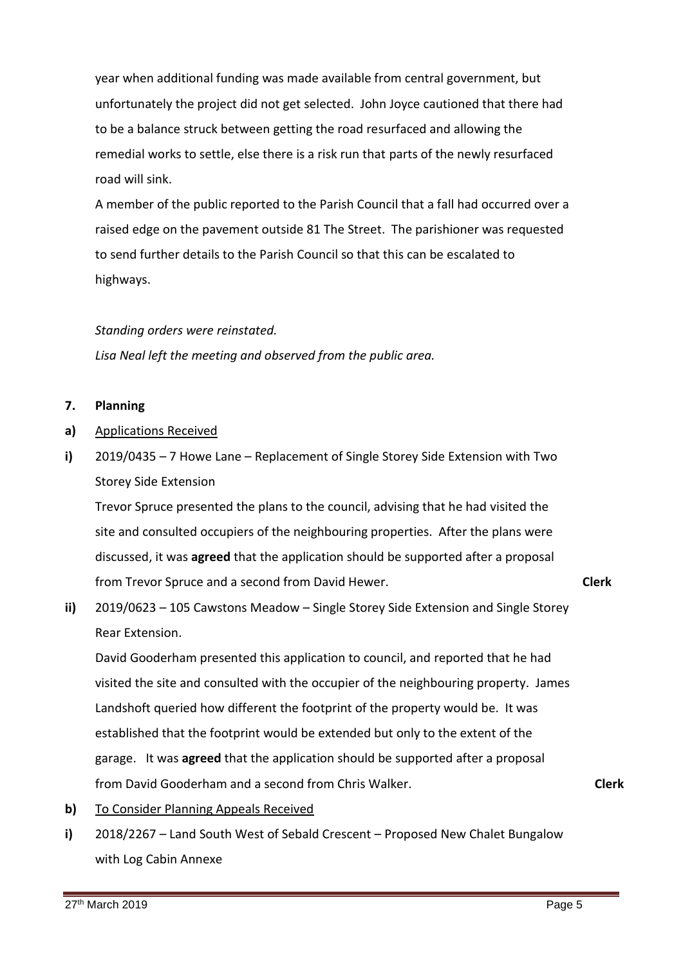year when additional funding was made available from central government, but unfortunately the project did not get selected. John Joyce cautioned that there had to be a balance struck between getting the road resurfaced and allowing the remedial works to settle, else there is a risk run that parts of the newly resurfaced road will sink.

A member of the public reported to the Parish Council that a fall had occurred over a raised edge on the pavement outside 81 The Street. The parishioner was requested to send further details to the Parish Council so that this can be escalated to highways.

## *Standing orders were reinstated.*

*Lisa Neal left the meeting and observed from the public area.*

### **7. Planning**

- **a)** Applications Received
- **i)** 2019/0435 – 7 Howe Lane – Replacement of Single Storey Side Extension with Two Storey Side Extension

Trevor Spruce presented the plans to the council, advising that he had visited the site and consulted occupiers of the neighbouring properties. After the plans were discussed, it was **agreed** that the application should be supported after a proposal from Trevor Spruce and a second from David Hewer.

**ii)** 2019/0623 – 105 Cawstons Meadow – Single Storey Side Extension and Single Storey Rear Extension.

David Gooderham presented this application to council, and reported that he had visited the site and consulted with the occupier of the neighbouring property. James Landshoft queried how different the footprint of the property would be. It was established that the footprint would be extended but only to the extent of the garage. It was **agreed** that the application should be supported after a proposal from David Gooderham and a second from Chris Walker.

**Clerk**

**Clerk**

- **b)** To Consider Planning Appeals Received
- **i)** 2018/2267 – Land South West of Sebald Crescent – Proposed New Chalet Bungalow with Log Cabin Annexe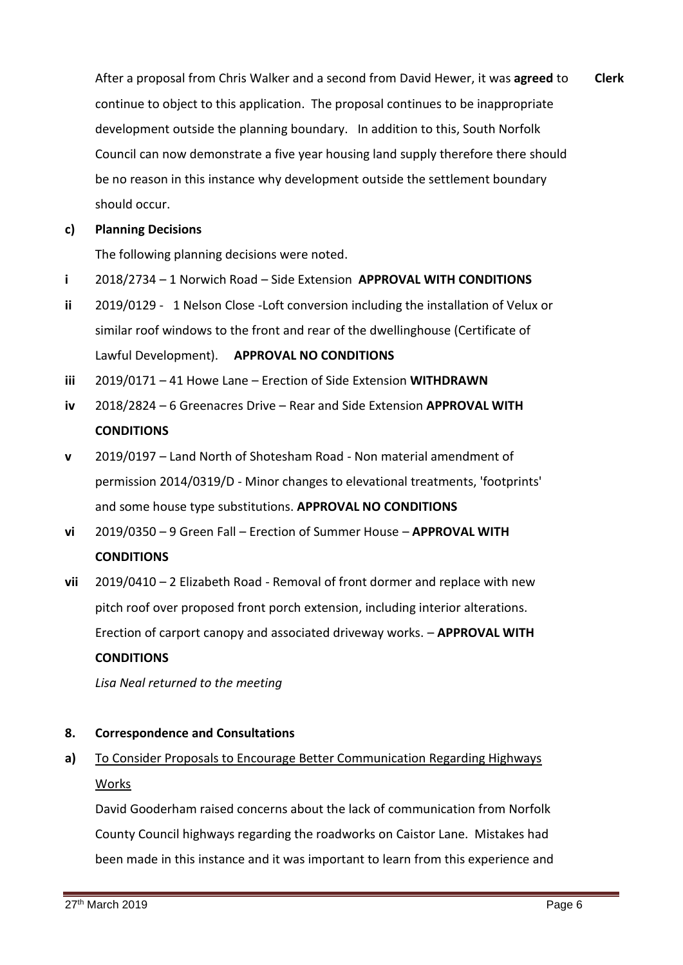After a proposal from Chris Walker and a second from David Hewer, it was **agreed** to continue to object to this application. The proposal continues to be inappropriate development outside the planning boundary. In addition to this, South Norfolk Council can now demonstrate a five year housing land supply therefore there should be no reason in this instance why development outside the settlement boundary should occur. **Clerk**

### **c) Planning Decisions**

The following planning decisions were noted.

- **i** 2018/2734 – 1 Norwich Road – Side Extension **APPROVAL WITH CONDITIONS**
- **ii** 2019/0129 - 1 Nelson Close -Loft conversion including the installation of Velux or similar roof windows to the front and rear of the dwellinghouse (Certificate of Lawful Development). **APPROVAL NO CONDITIONS**
- **iii** 2019/0171 – 41 Howe Lane – Erection of Side Extension **WITHDRAWN**
- **iv** 2018/2824 – 6 Greenacres Drive – Rear and Side Extension **APPROVAL WITH CONDITIONS**
- **v** 2019/0197 – Land North of Shotesham Road - Non material amendment of permission 2014/0319/D - Minor changes to elevational treatments, 'footprints' and some house type substitutions. **APPROVAL NO CONDITIONS**
- **vi** 2019/0350 – 9 Green Fall – Erection of Summer House – **APPROVAL WITH CONDITIONS**
- **vii** 2019/0410 – 2 Elizabeth Road - Removal of front dormer and replace with new pitch roof over proposed front porch extension, including interior alterations. Erection of carport canopy and associated driveway works. – **APPROVAL WITH**

## **CONDITIONS**

*Lisa Neal returned to the meeting*

### **8. Correspondence and Consultations**

**a)** To Consider Proposals to Encourage Better Communication Regarding Highways Works

David Gooderham raised concerns about the lack of communication from Norfolk County Council highways regarding the roadworks on Caistor Lane. Mistakes had been made in this instance and it was important to learn from this experience and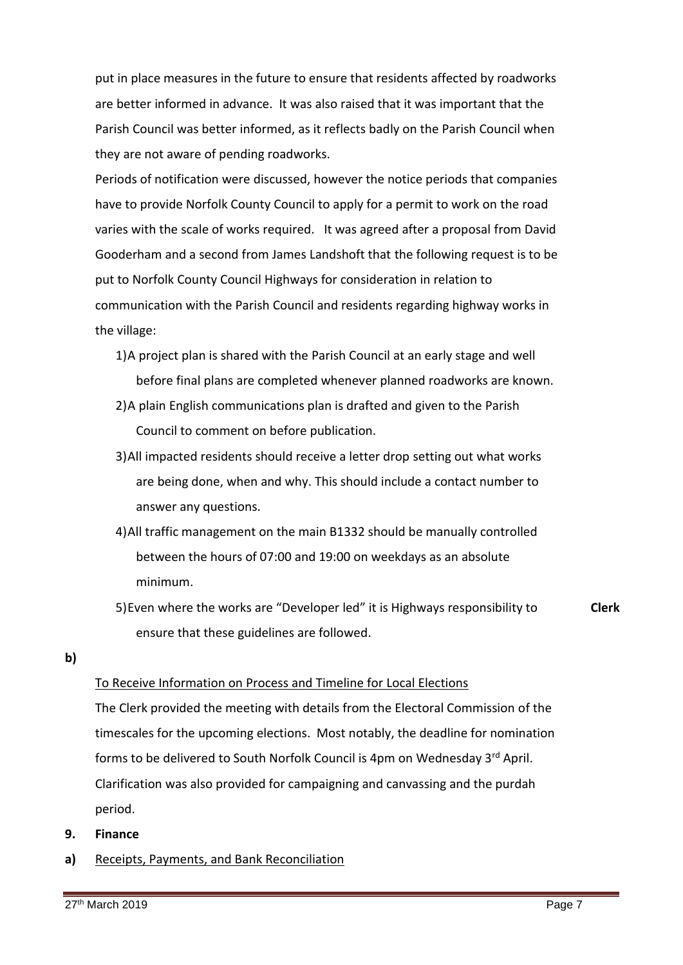put in place measures in the future to ensure that residents affected by roadworks are better informed in advance. It was also raised that it was important that the Parish Council was better informed, as it reflects badly on the Parish Council when they are not aware of pending roadworks.

Periods of notification were discussed, however the notice periods that companies have to provide Norfolk County Council to apply for a permit to work on the road varies with the scale of works required. It was agreed after a proposal from David Gooderham and a second from James Landshoft that the following request is to be put to Norfolk County Council Highways for consideration in relation to communication with the Parish Council and residents regarding highway works in the village:

- 1)A project plan is shared with the Parish Council at an early stage and well before final plans are completed whenever planned roadworks are known.
- 2)A plain English communications plan is drafted and given to the Parish Council to comment on before publication.
- 3)All impacted residents should receive a letter drop setting out what works are being done, when and why. This should include a contact number to answer any questions.
- 4)All traffic management on the main B1332 should be manually controlled between the hours of 07:00 and 19:00 on weekdays as an absolute minimum.
- 5)Even where the works are "Developer led" it is Highways responsibility to ensure that these guidelines are followed.

**Clerk**

### **b)**

## To Receive Information on Process and Timeline for Local Elections

The Clerk provided the meeting with details from the Electoral Commission of the timescales for the upcoming elections. Most notably, the deadline for nomination forms to be delivered to South Norfolk Council is 4pm on Wednesday 3<sup>rd</sup> April. Clarification was also provided for campaigning and canvassing and the purdah period.

- **9. Finance**
- **a)** Receipts, Payments, and Bank Reconciliation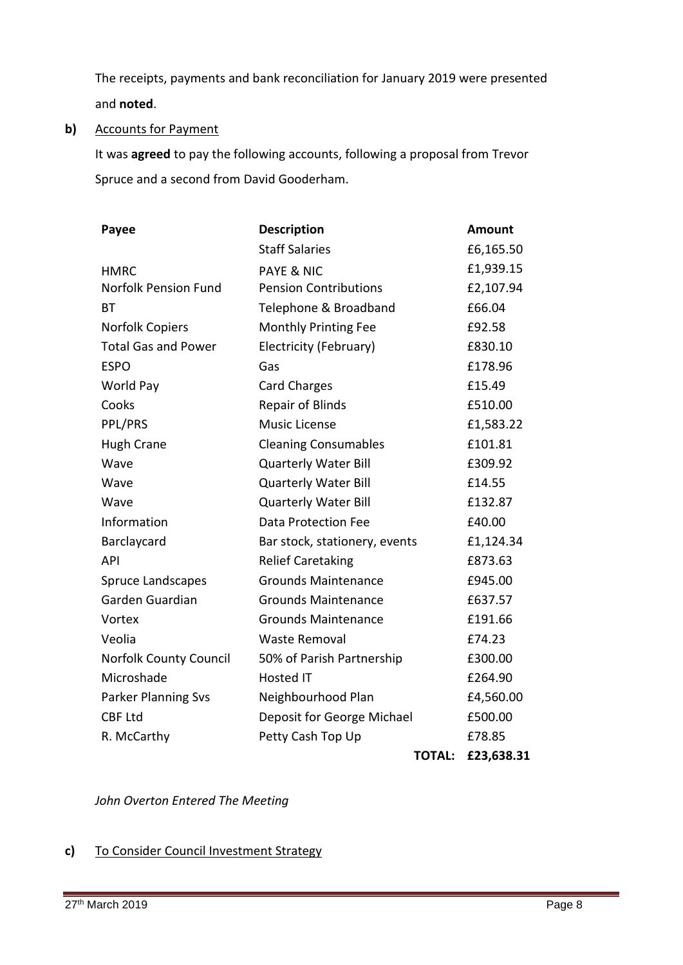The receipts, payments and bank reconciliation for January 2019 were presented and **noted**.

**b)** Accounts for Payment

> It was **agreed** to pay the following accounts, following a proposal from Trevor Spruce and a second from David Gooderham.

| Payee                         | <b>Description</b>            |               | <b>Amount</b> |
|-------------------------------|-------------------------------|---------------|---------------|
|                               | <b>Staff Salaries</b>         |               | £6,165.50     |
| <b>HMRC</b>                   | <b>PAYE &amp; NIC</b>         |               | £1,939.15     |
| <b>Norfolk Pension Fund</b>   | <b>Pension Contributions</b>  |               | £2,107.94     |
| BТ                            | Telephone & Broadband         |               | £66.04        |
| <b>Norfolk Copiers</b>        | Monthly Printing Fee          |               | £92.58        |
| <b>Total Gas and Power</b>    | Electricity (February)        |               | £830.10       |
| <b>ESPO</b>                   | Gas                           |               | £178.96       |
| World Pay                     | <b>Card Charges</b>           |               | £15.49        |
| Cooks                         | <b>Repair of Blinds</b>       |               | £510.00       |
| PPL/PRS                       | <b>Music License</b>          |               | £1,583.22     |
| <b>Hugh Crane</b>             | <b>Cleaning Consumables</b>   |               | £101.81       |
| Wave                          | <b>Quarterly Water Bill</b>   |               | £309.92       |
| Wave                          | <b>Quarterly Water Bill</b>   |               | £14.55        |
| Wave                          | <b>Quarterly Water Bill</b>   |               | £132.87       |
| Information                   | <b>Data Protection Fee</b>    |               | £40.00        |
| Barclaycard                   | Bar stock, stationery, events |               | £1,124.34     |
| API                           | <b>Relief Caretaking</b>      |               | £873.63       |
| Spruce Landscapes             | <b>Grounds Maintenance</b>    |               | £945.00       |
| Garden Guardian               | <b>Grounds Maintenance</b>    |               | £637.57       |
| Vortex                        | <b>Grounds Maintenance</b>    |               | £191.66       |
| Veolia                        | Waste Removal                 |               | £74.23        |
| <b>Norfolk County Council</b> | 50% of Parish Partnership     |               | £300.00       |
| Microshade                    | <b>Hosted IT</b>              |               | £264.90       |
| Parker Planning Svs           | Neighbourhood Plan            |               | £4,560.00     |
| <b>CBF Ltd</b>                | Deposit for George Michael    |               | £500.00       |
| R. McCarthy                   | Petty Cash Top Up             |               | £78.85        |
|                               |                               | <b>TOTAL:</b> | £23,638.31    |

*John Overton Entered The Meeting*

### **c)**  To Consider Council Investment Strategy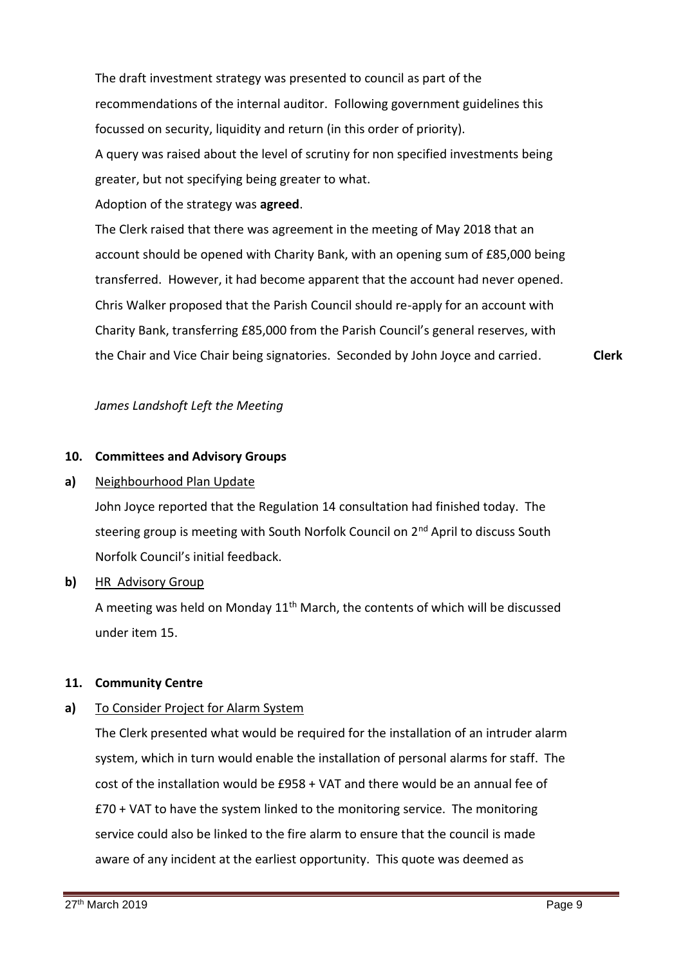The draft investment strategy was presented to council as part of the recommendations of the internal auditor. Following government guidelines this focussed on security, liquidity and return (in this order of priority).

A query was raised about the level of scrutiny for non specified investments being greater, but not specifying being greater to what.

Adoption of the strategy was **agreed**.

The Clerk raised that there was agreement in the meeting of May 2018 that an account should be opened with Charity Bank, with an opening sum of £85,000 being transferred. However, it had become apparent that the account had never opened. Chris Walker proposed that the Parish Council should re-apply for an account with Charity Bank, transferring £85,000 from the Parish Council's general reserves, with the Chair and Vice Chair being signatories. Seconded by John Joyce and carried. **Clerk**

*James Landshoft Left the Meeting*

## **10. Committees and Advisory Groups**

### **a)** Neighbourhood Plan Update

John Joyce reported that the Regulation 14 consultation had finished today. The steering group is meeting with South Norfolk Council on 2<sup>nd</sup> April to discuss South Norfolk Council's initial feedback.

**b)** HR Advisory Group

> A meeting was held on Monday  $11<sup>th</sup>$  March, the contents of which will be discussed under item 15.

## **11. Community Centre**

### **a)** To Consider Project for Alarm System

The Clerk presented what would be required for the installation of an intruder alarm system, which in turn would enable the installation of personal alarms for staff. The cost of the installation would be £958 + VAT and there would be an annual fee of £70 + VAT to have the system linked to the monitoring service. The monitoring service could also be linked to the fire alarm to ensure that the council is made aware of any incident at the earliest opportunity. This quote was deemed as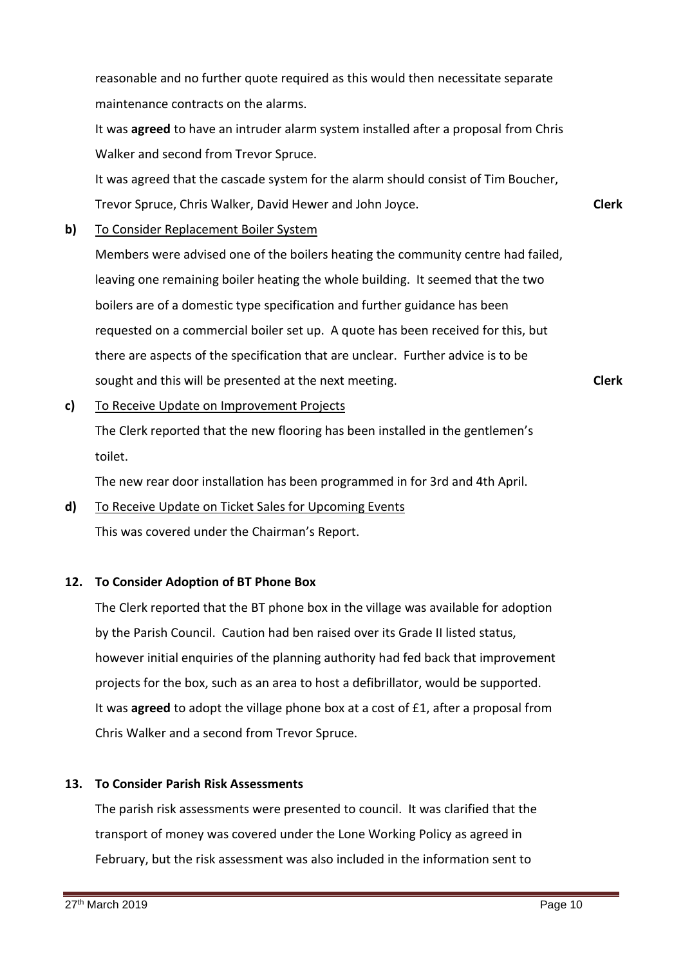reasonable and no further quote required as this would then necessitate separate maintenance contracts on the alarms.

It was **agreed** to have an intruder alarm system installed after a proposal from Chris Walker and second from Trevor Spruce.

It was agreed that the cascade system for the alarm should consist of Tim Boucher, Trevor Spruce, Chris Walker, David Hewer and John Joyce.

**b)** To Consider Replacement Boiler System

> Members were advised one of the boilers heating the community centre had failed, leaving one remaining boiler heating the whole building. It seemed that the two boilers are of a domestic type specification and further guidance has been requested on a commercial boiler set up. A quote has been received for this, but there are aspects of the specification that are unclear. Further advice is to be sought and this will be presented at the next meeting.

**Clerk**

**Clerk**

**c)**  To Receive Update on Improvement Projects

> The Clerk reported that the new flooring has been installed in the gentlemen's toilet.

The new rear door installation has been programmed in for 3rd and 4th April.

**d)**  To Receive Update on Ticket Sales for Upcoming Events This was covered under the Chairman's Report.

## **12. To Consider Adoption of BT Phone Box**

The Clerk reported that the BT phone box in the village was available for adoption by the Parish Council. Caution had ben raised over its Grade II listed status, however initial enquiries of the planning authority had fed back that improvement projects for the box, such as an area to host a defibrillator, would be supported. It was **agreed** to adopt the village phone box at a cost of £1, after a proposal from Chris Walker and a second from Trevor Spruce.

## **13. To Consider Parish Risk Assessments**

The parish risk assessments were presented to council. It was clarified that the transport of money was covered under the Lone Working Policy as agreed in February, but the risk assessment was also included in the information sent to